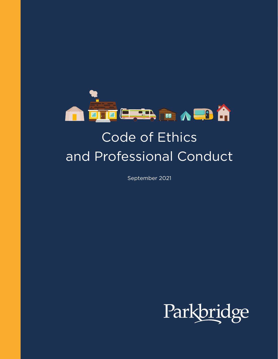

September 2021

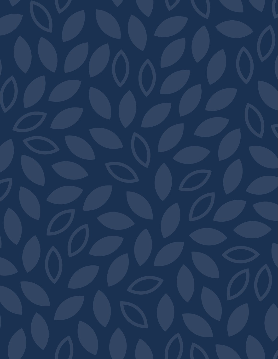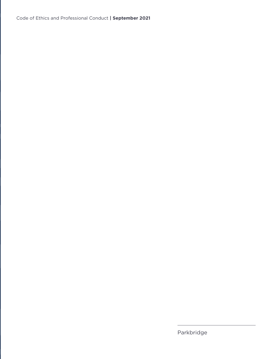Code of Ethics and Professional Conduct **| September 2021**

Parkbridge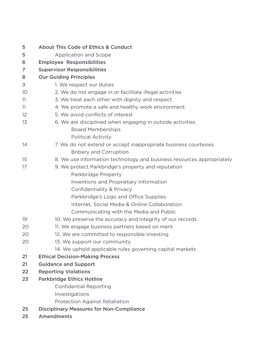| 5               | <b>About This Code of Ethics &amp; Conduct</b>                        |  |  |  |  |  |
|-----------------|-----------------------------------------------------------------------|--|--|--|--|--|
| 5               | Application and Scope                                                 |  |  |  |  |  |
| 6               | <b>Employee Responsibilities</b>                                      |  |  |  |  |  |
| 7               | <b>Supervisor Responsibilities</b>                                    |  |  |  |  |  |
| 8               | <b>Our Guiding Principles</b>                                         |  |  |  |  |  |
| 9               | 1. We respect our duties                                              |  |  |  |  |  |
| 10 <sup>°</sup> | 2. We do not engage in or facilitate illegal activities               |  |  |  |  |  |
| 11              | 3. We treat each other with dignity and respect                       |  |  |  |  |  |
| 11              | 4. We promote a safe and healthy work environment                     |  |  |  |  |  |
| 12              | 5. We avoid conflicts of interest                                     |  |  |  |  |  |
| 13              | 6. We are disciplined when engaging in outside activities             |  |  |  |  |  |
|                 | <b>Board Memberships</b>                                              |  |  |  |  |  |
|                 | <b>Political Activity</b>                                             |  |  |  |  |  |
| 14              | 7. We do not extend or accept inappropriate business courtesies       |  |  |  |  |  |
|                 | <b>Bribery and Corruption</b>                                         |  |  |  |  |  |
| 15              | 8. We use information technology and business resources appropriately |  |  |  |  |  |
| 17              | 9. We protect Parkbridge's property and reputation                    |  |  |  |  |  |
|                 | Parkbridge Property                                                   |  |  |  |  |  |
|                 | Inventions and Proprietary Information                                |  |  |  |  |  |
|                 | Confidentiality & Privacy                                             |  |  |  |  |  |
|                 | Parkbridge's Logo and Office Supplies                                 |  |  |  |  |  |
|                 | Internet, Social Media & Online Collaboration                         |  |  |  |  |  |
|                 | Communicating with the Media and Public                               |  |  |  |  |  |
| 19              | 10. We preserve the accuracy and integrity of our records             |  |  |  |  |  |
| 20              | 11. We engage business partners based on merit                        |  |  |  |  |  |
| 20              | 12. We are committed to responsible investing                         |  |  |  |  |  |
| 20              | 13. We support our community                                          |  |  |  |  |  |
|                 | 14. We uphold applicable rules governing capital markets              |  |  |  |  |  |
| 21              | <b>Ethical Decision-Making Process</b>                                |  |  |  |  |  |
| 21              | <b>Guidance and Support</b>                                           |  |  |  |  |  |
| 22              | <b>Reporting Violations</b>                                           |  |  |  |  |  |
| 23              | <b>Parkbridge Ethics Hotline</b>                                      |  |  |  |  |  |
|                 | <b>Confidential Reporting</b>                                         |  |  |  |  |  |
|                 | Investigations                                                        |  |  |  |  |  |
|                 | <b>Protection Against Retaliation</b>                                 |  |  |  |  |  |
| 25              | <b>Disciplinary Measures for Non-Compliance</b>                       |  |  |  |  |  |
| 25              | <b>Amendments</b>                                                     |  |  |  |  |  |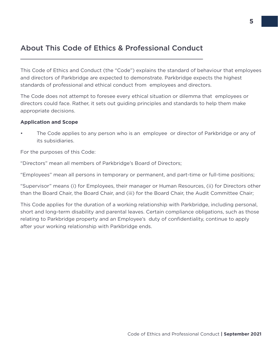## About This Code of Ethics & Professional Conduct

This Code of Ethics and Conduct (the "Code") explains the standard of behaviour that employees and directors of Parkbridge are expected to demonstrate. Parkbridge expects the highest standards of professional and ethical conduct from employees and directors.

The Code does not attempt to foresee every ethical situation or dilemma that employees or directors could face. Rather, it sets out guiding principles and standards to help them make appropriate decisions.

#### **Application and Scope**

The Code applies to any person who is an employee or director of Parkbridge or any of its subsidiaries.

For the purposes of this Code:

"Directors" mean all members of Parkbridge's Board of Directors;

"Employees" mean all persons in temporary or permanent, and part-time or full-time positions;

"Supervisor" means (i) for Employees, their manager or Human Resources, (ii) for Directors other than the Board Chair, the Board Chair, and (iii) for the Board Chair, the Audit Committee Chair;

This Code applies for the duration of a working relationship with Parkbridge, including personal, short and long-term disability and parental leaves. Certain compliance obligations, such as those relating to Parkbridge property and an Employee's duty of confidentiality, continue to apply after your working relationship with Parkbridge ends.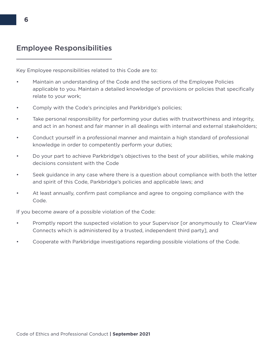### Employee Responsibilities

Key Employee responsibilities related to this Code are to:

- Maintain an understanding of the Code and the sections of the Employee Policies applicable to you. Maintain a detailed knowledge of provisions or policies that specifically relate to your work;
- Comply with the Code's principles and Parkbridge's policies;
- Take personal responsibility for performing your duties with trustworthiness and integrity, and act in an honest and fair manner in all dealings with internal and external stakeholders;
- Conduct yourself in a professional manner and maintain a high standard of professional knowledge in order to competently perform your duties;
- Do your part to achieve Parkbridge's objectives to the best of your abilities, while making decisions consistent with the Code
- Seek guidance in any case where there is a question about compliance with both the letter and spirit of this Code, Parkbridge's policies and applicable laws; and
- At least annually, confirm past compliance and agree to ongoing compliance with the Code.

If you become aware of a possible violation of the Code:

- Promptly report the suspected violation to your Supervisor [or anonymously to ClearView Connects which is administered by a trusted, independent third party], and
- Cooperate with Parkbridge investigations regarding possible violations of the Code.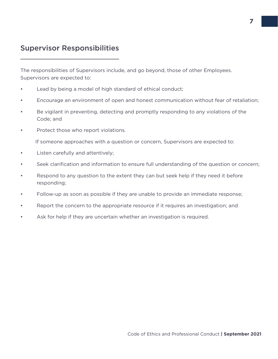### Supervisor Responsibilities

The responsibilities of Supervisors include, and go beyond, those of other Employees. Supervisors are expected to:

- Lead by being a model of high standard of ethical conduct;
- Encourage an environment of open and honest communication without fear of retaliation;
- Be vigilant in preventing, detecting and promptly responding to any violations of the Code; and
- Protect those who report violations.

If someone approaches with a question or concern, Supervisors are expected to:

- Listen carefully and attentively;
- Seek clarification and information to ensure full understanding of the question or concern;
- Respond to any question to the extent they can but seek help if they need it before responding;
- Follow-up as soon as possible if they are unable to provide an immediate response;
- Report the concern to the appropriate resource if it requires an investigation; and
- Ask for help if they are uncertain whether an investigation is required.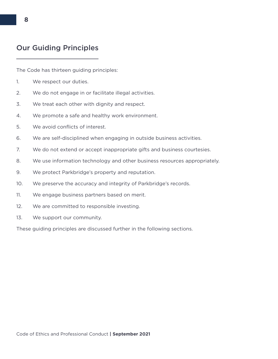### Our Guiding Principles

The Code has thirteen guiding principles:

- 1. We respect our duties.
- 2. We do not engage in or facilitate illegal activities.
- 3. We treat each other with dignity and respect.
- 4. We promote a safe and healthy work environment.
- 5. We avoid conflicts of interest.
- 6. We are self-disciplined when engaging in outside business activities.
- 7. We do not extend or accept inappropriate gifts and business courtesies.
- 8. We use information technology and other business resources appropriately.
- 9. We protect Parkbridge's property and reputation.
- 10. We preserve the accuracy and integrity of Parkbridge's records.
- 11. We engage business partners based on merit.
- 12. We are committed to responsible investing.
- 13. We support our community.

These guiding principles are discussed further in the following sections.

**8**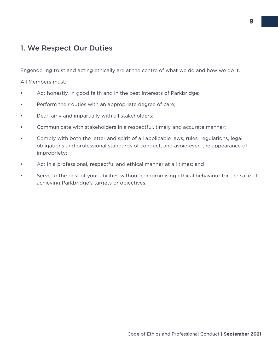### 1. We Respect Our Duties

Engendering trust and acting ethically are at the centre of what we do and how we do it.

All Members must:

- Act honestly, in good faith and in the best interests of Parkbridge;
- Perform their duties with an appropriate degree of care;
- Deal fairly and impartially with all stakeholders;
- Communicate with stakeholders in a respectful, timely and accurate manner;
- Comply with both the letter and spirit of all applicable laws, rules, regulations, legal obligations and professional standards of conduct, and avoid even the appearance of impropriety;
- Act in a professional, respectful and ethical manner at all times; and
- Serve to the best of your abilities without compromising ethical behaviour for the sake of achieving Parkbridge's targets or objectives.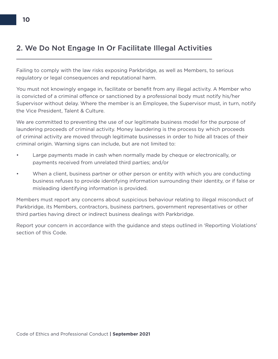## 2. We Do Not Engage In Or Facilitate Illegal Activities

Failing to comply with the law risks exposing Parkbridge, as well as Members, to serious regulatory or legal consequences and reputational harm.

You must not knowingly engage in, facilitate or benefit from any illegal activity. A Member who is convicted of a criminal offence or sanctioned by a professional body must notify his/her Supervisor without delay. Where the member is an Employee, the Supervisor must, in turn, notify the Vice President, Talent & Culture.

We are committed to preventing the use of our legitimate business model for the purpose of laundering proceeds of criminal activity. Money laundering is the process by which proceeds of criminal activity are moved through legitimate businesses in order to hide all traces of their criminal origin. Warning signs can include, but are not limited to:

- Large payments made in cash when normally made by cheque or electronically, or payments received from unrelated third parties; and/or
- When a client, business partner or other person or entity with which you are conducting business refuses to provide identifying information surrounding their identity, or if false or misleading identifying information is provided.

Members must report any concerns about suspicious behaviour relating to illegal misconduct of Parkbridge, its Members, contractors, business partners, government representatives or other third parties having direct or indirect business dealings with Parkbridge.

Report your concern in accordance with the guidance and steps outlined in 'Reporting Violations' section of this Code.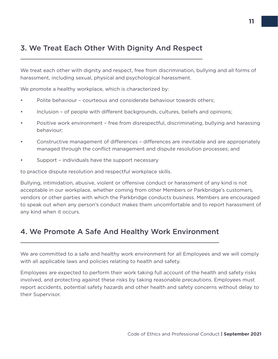## 3. We Treat Each Other With Dignity And Respect

We treat each other with dignity and respect, free from discrimination, bullying and all forms of harassment, including sexual, physical and psychological harassment.

We promote a healthy workplace, which is characterized by:

- Polite behaviour courteous and considerate behaviour towards others;
- Inclusion of people with different backgrounds, cultures, beliefs and opinions;
- Positive work environment free from disrespectful, discriminating, bullying and harassing behaviour;
- Constructive management of differences differences are inevitable and are appropriately managed through the conflict management and dispute resolution processes; and
- Support individuals have the support necessary

to practice dispute resolution and respectful workplace skills.

Bullying, intimidation, abusive, violent or offensive conduct or harassment of any kind is not acceptable in our workplace, whether coming from other Members or Parkbridge's customers, vendors or other parties with which the Parkbridge conducts business. Members are encouraged to speak out when any person's conduct makes them uncomfortable and to report harassment of any kind when it occurs.

## 4. We Promote A Safe And Healthy Work Environment

We are committed to a safe and healthy work environment for all Employees and we will comply with all applicable laws and policies relating to health and safety.

Employees are expected to perform their work taking full account of the health and safety risks involved, and protecting against these risks by taking reasonable precautions. Employees must report accidents, potential safety hazards and other health and safety concerns without delay to their Supervisor.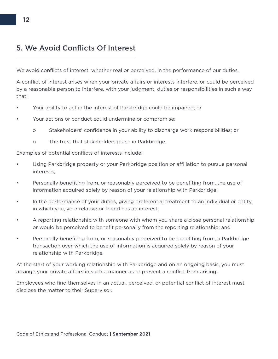## 5. We Avoid Conflicts Of Interest

We avoid conflicts of interest, whether real or perceived, in the performance of our duties.

A conflict of interest arises when your private affairs or interests interfere, or could be perceived by a reasonable person to interfere, with your judgment, duties or responsibilities in such a way that:

- Your ability to act in the interest of Parkbridge could be impaired; or
- Your actions or conduct could undermine or compromise:
	- o Stakeholders' confidence in your ability to discharge work responsibilities; or
	- o The trust that stakeholders place in Parkbridge.

Examples of potential conflicts of interests include:

- Using Parkbridge property or your Parkbridge position or affiliation to pursue personal interests;
- Personally benefiting from, or reasonably perceived to be benefiting from, the use of information acquired solely by reason of your relationship with Parkbridge;
- In the performance of your duties, giving preferential treatment to an individual or entity, in which you, your relative or friend has an interest;
- A reporting relationship with someone with whom you share a close personal relationship or would be perceived to benefit personally from the reporting relationship; and
- Personally benefiting from, or reasonably perceived to be benefiting from, a Parkbridge transaction over which the use of information is acquired solely by reason of your relationship with Parkbridge.

At the start of your working relationship with Parkbridge and on an ongoing basis, you must arrange your private affairs in such a manner as to prevent a conflict from arising.

Employees who find themselves in an actual, perceived, or potential conflict of interest must disclose the matter to their Supervisor.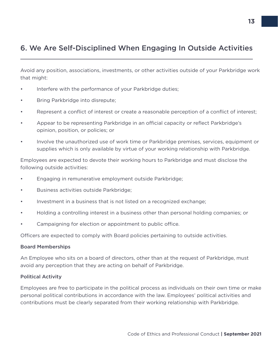# 6. We Are Self-Disciplined When Engaging In Outside Activities

Avoid any position, associations, investments, or other activities outside of your Parkbridge work that might:

- Interfere with the performance of your Parkbridge duties;
- Bring Parkbridge into disrepute;
- Represent a conflict of interest or create a reasonable perception of a conflict of interest;
- Appear to be representing Parkbridge in an official capacity or reflect Parkbridge's opinion, position, or policies; or
- Involve the unauthorized use of work time or Parkbridge premises, services, equipment or supplies which is only available by virtue of your working relationship with Parkbridge.

Employees are expected to devote their working hours to Parkbridge and must disclose the following outside activities:

- Engaging in remunerative employment outside Parkbridge;
- Business activities outside Parkbridge;
- Investment in a business that is not listed on a recognized exchange;
- Holding a controlling interest in a business other than personal holding companies; or
- Campaigning for election or appointment to public office.

Officers are expected to comply with Board policies pertaining to outside activities.

#### Board Memberships

An Employee who sits on a board of directors, other than at the request of Parkbridge, must avoid any perception that they are acting on behalf of Parkbridge.

#### Political Activity

Employees are free to participate in the political process as individuals on their own time or make personal political contributions in accordance with the law. Employees' political activities and contributions must be clearly separated from their working relationship with Parkbridge.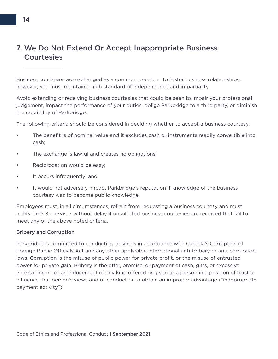## 7. We Do Not Extend Or Accept Inappropriate Business **Courtesies**

Business courtesies are exchanged as a common practice to foster business relationships; however, you must maintain a high standard of independence and impartiality.

Avoid extending or receiving business courtesies that could be seen to impair your professional judgement, impact the performance of your duties, oblige Parkbridge to a third party, or diminish the credibility of Parkbridge.

The following criteria should be considered in deciding whether to accept a business courtesy:

- The benefit is of nominal value and it excludes cash or instruments readily convertible into cash;
- The exchange is lawful and creates no obligations;
- Reciprocation would be easy;
- It occurs infrequently; and
- It would not adversely impact Parkbridge's reputation if knowledge of the business courtesy was to become public knowledge.

Employees must, in all circumstances, refrain from requesting a business courtesy and must notify their Supervisor without delay if unsolicited business courtesies are received that fail to meet any of the above noted criteria.

#### Bribery and Corruption

Parkbridge is committed to conducting business in accordance with Canada's Corruption of Foreign Public Officials Act and any other applicable international anti-bribery or anti-corruption laws. Corruption is the misuse of public power for private profit, or the misuse of entrusted power for private gain. Bribery is the offer, promise, or payment of cash, gifts, or excessive entertainment, or an inducement of any kind offered or given to a person in a position of trust to influence that person's views and or conduct or to obtain an improper advantage ("inappropriate payment activity").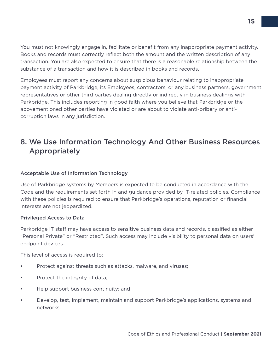You must not knowingly engage in, facilitate or benefit from any inappropriate payment activity. Books and records must correctly reflect both the amount and the written description of any transaction. You are also expected to ensure that there is a reasonable relationship between the substance of a transaction and how it is described in books and records.

Employees must report any concerns about suspicious behaviour relating to inappropriate payment activity of Parkbridge, its Employees, contractors, or any business partners, government representatives or other third parties dealing directly or indirectly in business dealings with Parkbridge. This includes reporting in good faith where you believe that Parkbridge or the abovementioned other parties have violated or are about to violate anti-bribery or anticorruption laws in any jurisdiction.

# 8. We Use Information Technology And Other Business Resources Appropriately

#### Acceptable Use of Information Technology

Use of Parkbridge systems by Members is expected to be conducted in accordance with the Code and the requirements set forth in and guidance provided by IT-related policies. Compliance with these policies is required to ensure that Parkbridge's operations, reputation or financial interests are not jeopardized.

#### Privileged Access to Data

Parkbridge IT staff may have access to sensitive business data and records, classified as either "Personal Private" or "Restricted". Such access may include visibility to personal data on users' endpoint devices.

This level of access is required to:

- Protect against threats such as attacks, malware, and viruses;
- Protect the integrity of data;
- Help support business continuity; and
- Develop, test, implement, maintain and support Parkbridge's applications, systems and networks.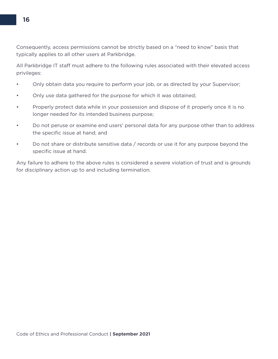All Parkbridge IT staff must adhere to the following rules associated with their elevated access privileges:

- Only obtain data you require to perform your job, or as directed by your Supervisor;
- Only use data gathered for the purpose for which it was obtained;
- Properly protect data while in your possession and dispose of it properly once it is no longer needed for its intended business purpose;
- Do not peruse or examine end users' personal data for any purpose other than to address the specific issue at hand; and
- Do not share or distribute sensitive data / records or use it for any purpose beyond the specific issue at hand.

Any failure to adhere to the above rules is considered a severe violation of trust and is grounds for disciplinary action up to and including termination.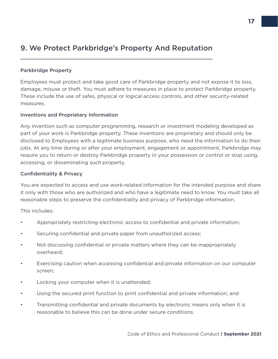# 9. We Protect Parkbridge's Property And Reputation

#### Parkbridge Property

Employees must protect and take good care of Parkbridge property and not expose it to loss, damage, misuse or theft. You must adhere to measures in place to protect Parkbridge property. These include the use of safes, physical or logical access controls, and other security-related measures.

#### Inventions and Proprietary Information

Any invention such as computer programming, research or investment modeling developed as part of your work is Parkbridge property. These inventions are proprietary and should only be disclosed to Employees with a legitimate business purpose, who need the information to do their jobs. At any time during or after your employment, engagement or appointment, Parkbridge may require you to return or destroy Parkbridge property in your possession or control or stop using, accessing, or disseminating such property.

#### Confidentiality & Privacy

You are expected to access and use work-related information for the intended purpose and share it only with those who are authorized and who have a legitimate need to know. You must take all reasonable steps to preserve the confidentiality and privacy of Parkbridge information.

This includes:

- Appropriately restricting electronic access to confidential and private information;
- Securing confidential and private paper from unauthorized access;
- Not discussing confidential or private matters where they can be inappropriately overheard;
- Exercising caution when accessing confidential and private information on our computer screen;
- Locking your computer when it is unattended;
- Using the secured print function to print confidential and private information; and
- Transmitting confidential and private documents by electronic means only when it is reasonable to believe this can be done under secure conditions.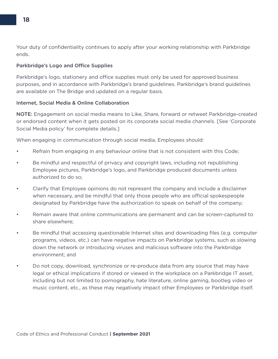Your duty of confidentiality continues to apply after your working relationship with Parkbridge ends.

#### Parkbridge's Logo and Office Supplies

Parkbridge's logo, stationery and office supplies must only be used for approved business purposes, and in accordance with Parkbridge's brand guidelines. Parkbridge's brand guidelines are available on The Bridge and updated on a regular basis.

#### Internet, Social Media & Online Collaboration

NOTE: Engagement on social media means to Like, Share, forward or retweet Parkbridge-created or endorsed content when it gets posted on its corporate social media channels. [See 'Corporate Social Media policy' for complete details.]

When engaging in communication through social media, Employees should:

- Refrain from engaging in any behaviour online that is not consistent with this Code;
- Be mindful and respectful of privacy and copyright laws, including not republishing Employee pictures, Parkbridge's logo, and Parkbridge produced documents unless authorized to do so;
- Clarify that Employee opinions do not represent the company and include a disclaimer when necessary, and be mindful that only those people who are official spokespeople designated by Parkbridge have the authorization to speak on behalf of the company;
- Remain aware that online communications are permanent and can be screen-captured to share elsewhere;
- Be mindful that accessing questionable Internet sites and downloading files (e.g. computer programs, videos, etc.) can have negative impacts on Parkbridge systems, such as slowing down the network or introducing viruses and malicious software into the Parkbridge environment; and
- Do not copy, download, synchronize or re-produce data from any source that may have legal or ethical implications if stored or viewed in the workplace on a Parkbridge IT asset, including but not limited to pornography, hate literature, online gaming, bootleg video or music content, etc., as these may negatively impact other Employees or Parkbridge itself.

**18**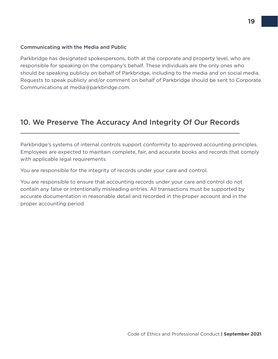#### Communicating with the Media and Public

Parkbridge has designated spokespersons, both at the corporate and property level, who are responsible for speaking on the company's behalf. These individuals are the only ones who should be speaking publicly on behalf of Parkbridge, including to the media and on social media. Requests to speak publicly and/or comment on behalf of Parkbridge should be sent to Corporate Communications at media@parkbridge.com.

## 10. We Preserve The Accuracy And Integrity Of Our Records

Parkbridge's systems of internal controls support conformity to approved accounting principles. Employees are expected to maintain complete, fair, and accurate books and records that comply with applicable legal requirements.

You are responsible for the integrity of records under your care and control.

You are responsible to ensure that accounting records under your care and control do not contain any false or intentionally misleading entries. All transactions must be supported by accurate documentation in reasonable detail and recorded in the proper account and in the proper accounting period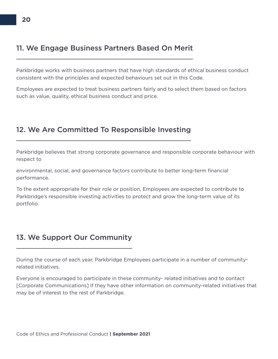### 11. We Engage Business Partners Based On Merit

Parkbridge works with business partners that have high standards of ethical business conduct consistent with the principles and expected behaviours set out in this Code.

Employees are expected to treat business partners fairly and to select them based on factors such as value, quality, ethical business conduct and price.

### 12. We Are Committed To Responsible Investing

Parkbridge believes that strong corporate governance and responsible corporate behaviour with respect to

environmental, social, and governance factors contribute to better long-term financial performance.

To the extent appropriate for their role or position, Employees are expected to contribute to Parkbridge's responsible investing activities to protect and grow the long-term value of its portfolio.

## 13. We Support Our Community

During the course of each year, Parkbridge Employees participate in a number of communityrelated initiatives.

Everyone is encouraged to participate in these community- related initiatives and to contact [Corporate Communications] if they have other information on community-related initiatives that may be of interest to the rest of Parkbridge.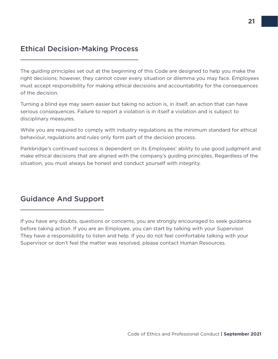## Ethical Decision-Making Process

The guiding principles set out at the beginning of this Code are designed to help you make the right decisions; however, they cannot cover every situation or dilemma you may face. Employees must accept responsibility for making ethical decisions and accountability for the consequences of the decision.

Turning a blind eye may seem easier but taking no action is, in itself, an action that can have serious consequences. Failure to report a violation is in itself a violation and is subject to disciplinary measures.

While you are required to comply with industry regulations as the minimum standard for ethical behaviour, regulations and rules only form part of the decision process.

Parkbridge's continued success is dependent on its Employees' ability to use good judgment and make ethical decisions that are aligned with the company's guiding principles. Regardless of the situation, you must always be honest and conduct yourself with integrity.

## Guidance And Support

If you have any doubts, questions or concerns, you are strongly encouraged to seek guidance before taking action. If you are an Employee, you can start by talking with your Supervisor. They have a responsibility to listen and help. If you do not feel comfortable talking with your Supervisor or don't feel the matter was resolved, please contact Human Resources.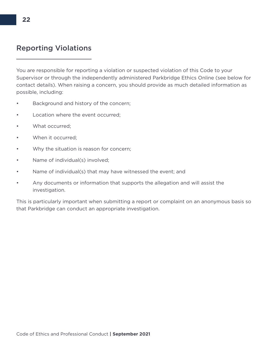### Reporting Violations

You are responsible for reporting a violation or suspected violation of this Code to your Supervisor or through the independently administered Parkbridge Ethics Online (see below for contact details). When raising a concern, you should provide as much detailed information as possible, including:

- Background and history of the concern;
- Location where the event occurred;
- What occurred;
- When it occurred;
- Why the situation is reason for concern;
- Name of individual(s) involved;
- Name of individual(s) that may have witnessed the event; and
- Any documents or information that supports the allegation and will assist the investigation.

This is particularly important when submitting a report or complaint on an anonymous basis so that Parkbridge can conduct an appropriate investigation.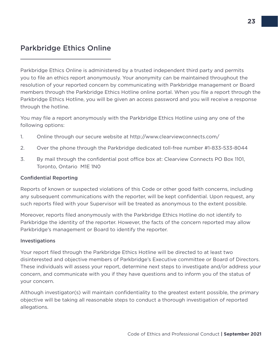## Parkbridge Ethics Online

Parkbridge Ethics Online is administered by a trusted independent third party and permits you to file an ethics report anonymously. Your anonymity can be maintained throughout the resolution of your reported concern by communicating with Parkbridge management or Board members through the Parkbridge Ethics Hotline online portal. When you file a report through the Parkbridge Ethics Hotline, you will be given an access password and you will receive a response through the hotline.

You may file a report anonymously with the Parkbridge Ethics Hotline using any one of the following options:

- 1. Online through our secure website at http://www.clearviewconnects.com/
- 2. Over the phone through the Parkbridge dedicated toll-free number #1-833-533-8044
- 3. By mail through the confidential post office box at: Clearview Connects PO Box 1101, Toronto, Ontario M1E 1N0

#### Confidential Reporting

Reports of known or suspected violations of this Code or other good faith concerns, including any subsequent communications with the reporter, will be kept confidential. Upon request, any such reports filed with your Supervisor will be treated as anonymous to the extent possible.

Moreover, reports filed anonymously with the Parkbridge Ethics Hotline do not identify to Parkbridge the identity of the reporter. However, the facts of the concern reported may allow Parkbridge's management or Board to identify the reporter.

#### Investigations

Your report filed through the Parkbridge Ethics Hotline will be directed to at least two disinterested and objective members of Parkbridge's Executive committee or Board of Directors. These individuals will assess your report, determine next steps to investigate and/or address your concern, and communicate with you if they have questions and to inform you of the status of your concern.

Although investigator(s) will maintain confidentiality to the greatest extent possible, the primary objective will be taking all reasonable steps to conduct a thorough investigation of reported allegations.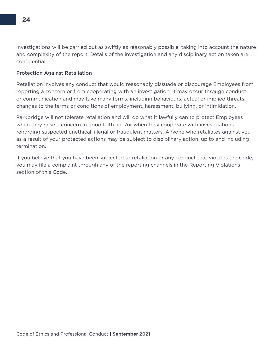Investigations will be carried out as swiftly as reasonably possible, taking into account the nature and complexity of the report. Details of the investigation and any disciplinary action taken are confidential.

#### Protection Against Retaliation

Retaliation involves any conduct that would reasonably dissuade or discourage Employees from reporting a concern or from cooperating with an investigation. It may occur through conduct or communication and may take many forms, including behaviours, actual or implied threats, changes to the terms or conditions of employment, harassment, bullying, or intimidation.

Parkbridge will not tolerate retaliation and will do what it lawfully can to protect Employees when they raise a concern in good faith and/or when they cooperate with investigations regarding suspected unethical, illegal or fraudulent matters. Anyone who retaliates against you as a result of your protected actions may be subject to disciplinary action, up to and including termination.

If you believe that you have been subjected to retaliation or any conduct that violates the Code, you may file a complaint through any of the reporting channels in the Reporting Violations section of this Code.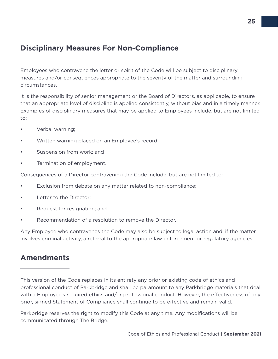## **Disciplinary Measures For Non-Compliance**

Employees who contravene the letter or spirit of the Code will be subject to disciplinary measures and/or consequences appropriate to the severity of the matter and surrounding circumstances.

It is the responsibility of senior management or the Board of Directors, as applicable, to ensure that an appropriate level of discipline is applied consistently, without bias and in a timely manner. Examples of disciplinary measures that may be applied to Employees include, but are not limited to:

- Verbal warning;
- Written warning placed on an Employee's record;
- Suspension from work; and
- Termination of employment.

Consequences of a Director contravening the Code include, but are not limited to:

- Exclusion from debate on any matter related to non-compliance;
- Letter to the Director;
- Request for resignation; and
- Recommendation of a resolution to remove the Director.

Any Employee who contravenes the Code may also be subject to legal action and, if the matter involves criminal activity, a referral to the appropriate law enforcement or regulatory agencies.

## **Amendments**

This version of the Code replaces in its entirety any prior or existing code of ethics and professional conduct of Parkbridge and shall be paramount to any Parkbridge materials that deal with a Employee's required ethics and/or professional conduct. However, the effectiveness of any prior, signed Statement of Compliance shall continue to be effective and remain valid.

Parkbridge reserves the right to modify this Code at any time. Any modifications will be communicated through The Bridge.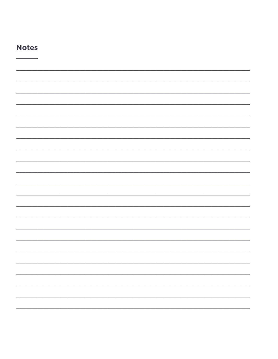| <b>Notes</b> |  |  |                          |
|--------------|--|--|--------------------------|
|              |  |  |                          |
|              |  |  |                          |
|              |  |  |                          |
|              |  |  |                          |
|              |  |  |                          |
|              |  |  |                          |
|              |  |  |                          |
|              |  |  |                          |
|              |  |  |                          |
|              |  |  |                          |
|              |  |  |                          |
|              |  |  |                          |
|              |  |  |                          |
|              |  |  |                          |
|              |  |  |                          |
|              |  |  |                          |
|              |  |  | $\overline{\phantom{a}}$ |
|              |  |  | -                        |
|              |  |  | $\overline{\phantom{0}}$ |
|              |  |  | -                        |
|              |  |  |                          |
|              |  |  |                          |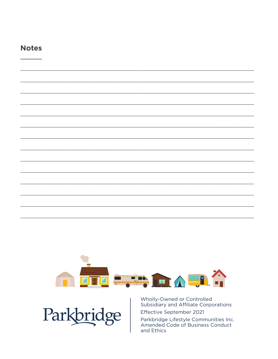



Parkbridge

Wholly-Owned or Controlled Subsidiary and Affiliate Corporations Effective September 2021

Parkbridge Lifestyle Communities Inc.<br>Amended Code of Business Conduct and Ethics